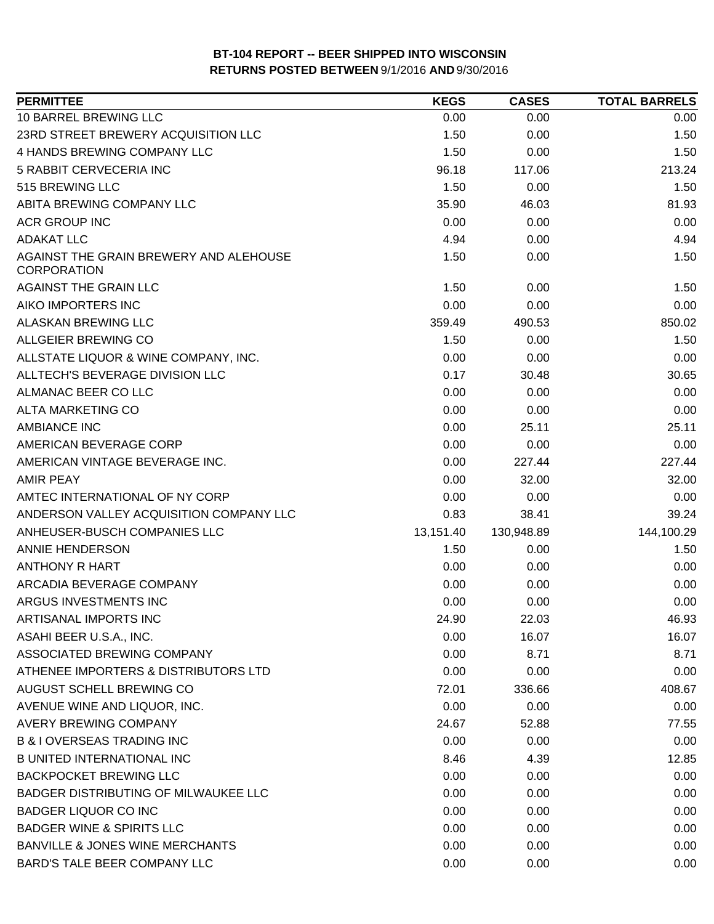| <b>PERMITTEE</b>                                             | <b>KEGS</b> | <b>CASES</b> | <b>TOTAL BARRELS</b> |
|--------------------------------------------------------------|-------------|--------------|----------------------|
| 10 BARREL BREWING LLC                                        | 0.00        | 0.00         | 0.00                 |
| 23RD STREET BREWERY ACQUISITION LLC                          | 1.50        | 0.00         | 1.50                 |
| 4 HANDS BREWING COMPANY LLC                                  | 1.50        | 0.00         | 1.50                 |
| <b>5 RABBIT CERVECERIA INC</b>                               | 96.18       | 117.06       | 213.24               |
| 515 BREWING LLC                                              | 1.50        | 0.00         | 1.50                 |
| ABITA BREWING COMPANY LLC                                    | 35.90       | 46.03        | 81.93                |
| <b>ACR GROUP INC</b>                                         | 0.00        | 0.00         | 0.00                 |
| <b>ADAKAT LLC</b>                                            | 4.94        | 0.00         | 4.94                 |
| AGAINST THE GRAIN BREWERY AND ALEHOUSE<br><b>CORPORATION</b> | 1.50        | 0.00         | 1.50                 |
| AGAINST THE GRAIN LLC                                        | 1.50        | 0.00         | 1.50                 |
| AIKO IMPORTERS INC                                           | 0.00        | 0.00         | 0.00                 |
| ALASKAN BREWING LLC                                          | 359.49      | 490.53       | 850.02               |
| ALLGEIER BREWING CO                                          | 1.50        | 0.00         | 1.50                 |
| ALLSTATE LIQUOR & WINE COMPANY, INC.                         | 0.00        | 0.00         | 0.00                 |
| ALLTECH'S BEVERAGE DIVISION LLC                              | 0.17        | 30.48        | 30.65                |
| ALMANAC BEER CO LLC                                          | 0.00        | 0.00         | 0.00                 |
| <b>ALTA MARKETING CO</b>                                     | 0.00        | 0.00         | 0.00                 |
| <b>AMBIANCE INC</b>                                          | 0.00        | 25.11        | 25.11                |
| AMERICAN BEVERAGE CORP                                       | 0.00        | 0.00         | 0.00                 |
| AMERICAN VINTAGE BEVERAGE INC.                               | 0.00        | 227.44       | 227.44               |
| <b>AMIR PEAY</b>                                             | 0.00        | 32.00        | 32.00                |
| AMTEC INTERNATIONAL OF NY CORP                               | 0.00        | 0.00         | 0.00                 |
| ANDERSON VALLEY ACQUISITION COMPANY LLC                      | 0.83        | 38.41        | 39.24                |
| ANHEUSER-BUSCH COMPANIES LLC                                 | 13,151.40   | 130,948.89   | 144,100.29           |
| <b>ANNIE HENDERSON</b>                                       | 1.50        | 0.00         | 1.50                 |
| <b>ANTHONY R HART</b>                                        | 0.00        | 0.00         | 0.00                 |
| ARCADIA BEVERAGE COMPANY                                     | 0.00        | 0.00         | 0.00                 |
| ARGUS INVESTMENTS INC                                        | 0.00        | 0.00         | 0.00                 |
| ARTISANAL IMPORTS INC                                        | 24.90       | 22.03        | 46.93                |
| ASAHI BEER U.S.A., INC.                                      | 0.00        | 16.07        | 16.07                |
| ASSOCIATED BREWING COMPANY                                   | 0.00        | 8.71         | 8.71                 |
| ATHENEE IMPORTERS & DISTRIBUTORS LTD                         | 0.00        | 0.00         | 0.00                 |
| AUGUST SCHELL BREWING CO                                     | 72.01       | 336.66       | 408.67               |
| AVENUE WINE AND LIQUOR, INC.                                 | 0.00        | 0.00         | 0.00                 |
| AVERY BREWING COMPANY                                        | 24.67       | 52.88        | 77.55                |
| <b>B &amp; I OVERSEAS TRADING INC</b>                        | 0.00        | 0.00         | 0.00                 |
| <b>B UNITED INTERNATIONAL INC</b>                            | 8.46        | 4.39         | 12.85                |
| <b>BACKPOCKET BREWING LLC</b>                                | 0.00        | 0.00         | 0.00                 |
| BADGER DISTRIBUTING OF MILWAUKEE LLC                         | 0.00        | 0.00         | 0.00                 |
| <b>BADGER LIQUOR CO INC</b>                                  | 0.00        | 0.00         | 0.00                 |
| <b>BADGER WINE &amp; SPIRITS LLC</b>                         | 0.00        | 0.00         | 0.00                 |
| <b>BANVILLE &amp; JONES WINE MERCHANTS</b>                   | 0.00        | 0.00         | 0.00                 |
| BARD'S TALE BEER COMPANY LLC                                 | 0.00        | 0.00         | 0.00                 |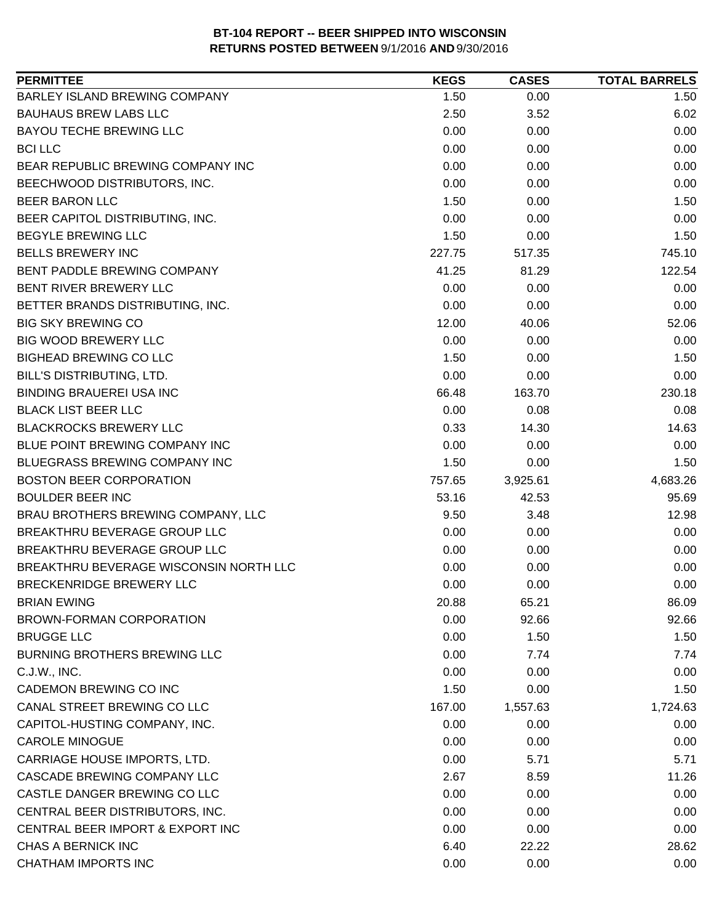| <b>PERMITTEE</b>                       | <b>KEGS</b> | <b>CASES</b> | <b>TOTAL BARRELS</b> |
|----------------------------------------|-------------|--------------|----------------------|
| BARLEY ISLAND BREWING COMPANY          | 1.50        | 0.00         | 1.50                 |
| <b>BAUHAUS BREW LABS LLC</b>           | 2.50        | 3.52         | 6.02                 |
| <b>BAYOU TECHE BREWING LLC</b>         | 0.00        | 0.00         | 0.00                 |
| <b>BCI LLC</b>                         | 0.00        | 0.00         | 0.00                 |
| BEAR REPUBLIC BREWING COMPANY INC      | 0.00        | 0.00         | 0.00                 |
| BEECHWOOD DISTRIBUTORS, INC.           | 0.00        | 0.00         | 0.00                 |
| <b>BEER BARON LLC</b>                  | 1.50        | 0.00         | 1.50                 |
| BEER CAPITOL DISTRIBUTING, INC.        | 0.00        | 0.00         | 0.00                 |
| <b>BEGYLE BREWING LLC</b>              | 1.50        | 0.00         | 1.50                 |
| <b>BELLS BREWERY INC</b>               | 227.75      | 517.35       | 745.10               |
| BENT PADDLE BREWING COMPANY            | 41.25       | 81.29        | 122.54               |
| BENT RIVER BREWERY LLC                 | 0.00        | 0.00         | 0.00                 |
| BETTER BRANDS DISTRIBUTING, INC.       | 0.00        | 0.00         | 0.00                 |
| <b>BIG SKY BREWING CO</b>              | 12.00       | 40.06        | 52.06                |
| <b>BIG WOOD BREWERY LLC</b>            | 0.00        | 0.00         | 0.00                 |
| <b>BIGHEAD BREWING CO LLC</b>          | 1.50        | 0.00         | 1.50                 |
| BILL'S DISTRIBUTING, LTD.              | 0.00        | 0.00         | 0.00                 |
| <b>BINDING BRAUEREI USA INC</b>        | 66.48       | 163.70       | 230.18               |
| <b>BLACK LIST BEER LLC</b>             | 0.00        | 0.08         | 0.08                 |
| <b>BLACKROCKS BREWERY LLC</b>          | 0.33        | 14.30        | 14.63                |
| BLUE POINT BREWING COMPANY INC         | 0.00        | 0.00         | 0.00                 |
| BLUEGRASS BREWING COMPANY INC          | 1.50        | 0.00         | 1.50                 |
| <b>BOSTON BEER CORPORATION</b>         | 757.65      | 3,925.61     | 4,683.26             |
| <b>BOULDER BEER INC</b>                | 53.16       | 42.53        | 95.69                |
| BRAU BROTHERS BREWING COMPANY, LLC     | 9.50        | 3.48         | 12.98                |
| BREAKTHRU BEVERAGE GROUP LLC           | 0.00        | 0.00         | 0.00                 |
| BREAKTHRU BEVERAGE GROUP LLC           | 0.00        | 0.00         | 0.00                 |
| BREAKTHRU BEVERAGE WISCONSIN NORTH LLC | 0.00        | 0.00         | 0.00                 |
| BRECKENRIDGE BREWERY LLC               | 0.00        | 0.00         | 0.00                 |
| <b>BRIAN EWING</b>                     | 20.88       | 65.21        | 86.09                |
| BROWN-FORMAN CORPORATION               | 0.00        | 92.66        | 92.66                |
| <b>BRUGGE LLC</b>                      | 0.00        | 1.50         | 1.50                 |
| <b>BURNING BROTHERS BREWING LLC</b>    | 0.00        | 7.74         | 7.74                 |
| C.J.W., INC.                           | 0.00        | 0.00         | 0.00                 |
| CADEMON BREWING CO INC                 | 1.50        | 0.00         | 1.50                 |
| CANAL STREET BREWING CO LLC            | 167.00      | 1,557.63     | 1,724.63             |
| CAPITOL-HUSTING COMPANY, INC.          | 0.00        | 0.00         | 0.00                 |
| <b>CAROLE MINOGUE</b>                  | 0.00        | 0.00         | 0.00                 |
| CARRIAGE HOUSE IMPORTS, LTD.           | 0.00        | 5.71         | 5.71                 |
| CASCADE BREWING COMPANY LLC            | 2.67        | 8.59         | 11.26                |
| CASTLE DANGER BREWING CO LLC           | 0.00        | 0.00         | 0.00                 |
| CENTRAL BEER DISTRIBUTORS, INC.        | 0.00        | 0.00         | 0.00                 |
| CENTRAL BEER IMPORT & EXPORT INC       | 0.00        | 0.00         | 0.00                 |
| CHAS A BERNICK INC                     | 6.40        | 22.22        | 28.62                |
| <b>CHATHAM IMPORTS INC</b>             | 0.00        | 0.00         | 0.00                 |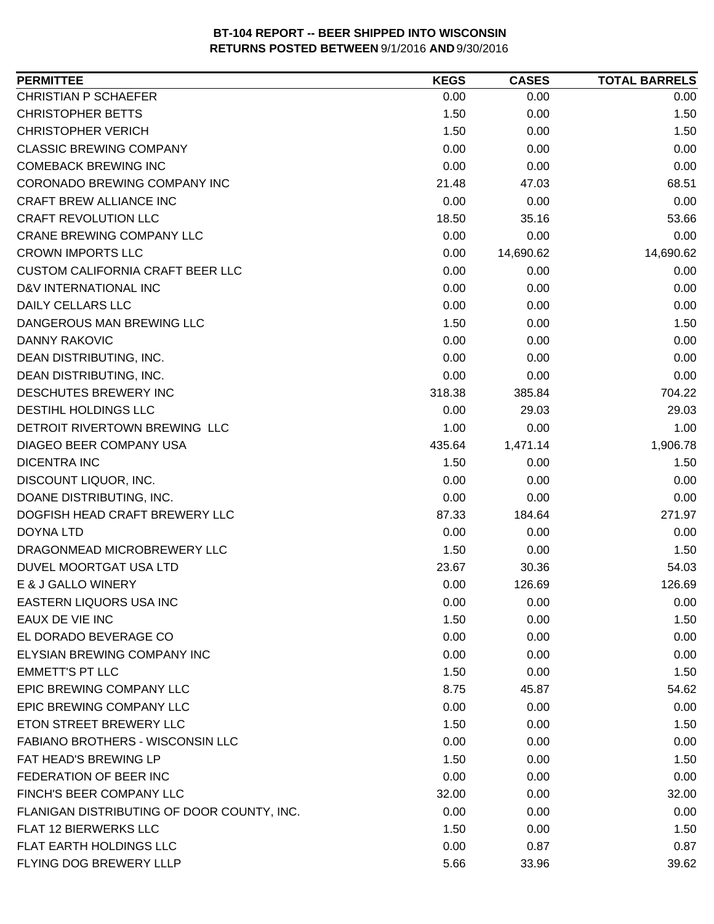| 0.00<br>0.00<br>0.00<br>1.50<br>0.00<br>1.50<br>1.50<br>0.00<br>1.50<br>0.00<br>0.00<br>0.00<br>0.00<br>0.00<br>0.00<br>21.48<br>47.03<br>68.51<br>0.00<br>0.00<br>0.00<br>18.50<br>35.16<br>53.66<br>0.00<br>0.00<br>0.00<br>0.00<br>14,690.62<br>14,690.62<br>0.00<br>0.00<br>0.00<br>0.00<br>0.00<br>0.00<br>0.00<br>0.00<br>0.00<br>1.50<br>0.00<br>1.50<br>0.00<br>0.00<br>0.00<br>0.00<br>0.00<br>0.00<br>0.00<br>0.00<br>0.00<br>318.38<br>385.84<br>704.22<br>0.00<br>29.03<br>29.03<br>1.00<br>0.00<br>1.00<br>1,906.78<br>435.64<br>1,471.14<br>1.50<br>0.00<br>1.50<br>0.00<br>0.00<br>0.00<br>0.00<br>0.00<br>0.00<br>271.97<br>87.33<br>184.64<br>0.00<br>0.00<br>0.00<br>1.50<br>0.00<br>1.50<br>54.03<br>23.67<br>30.36<br>0.00<br>126.69<br>126.69<br>E & J GALLO WINERY<br>0.00<br>0.00<br>0.00<br>1.50<br>0.00<br>1.50<br>0.00<br>0.00<br>0.00<br>0.00<br>0.00<br>0.00<br>1.50<br>0.00<br>1.50<br>8.75<br>45.87<br>54.62<br>0.00<br>0.00<br>0.00<br>1.50<br>0.00<br>1.50<br>0.00<br>0.00<br>0.00<br>1.50<br>1.50<br>0.00<br>0.00<br>0.00<br>0.00<br>32.00<br>0.00 | <b>PERMITTEE</b>                           | <b>KEGS</b> | <b>CASES</b> | <b>TOTAL BARRELS</b> |
|-------------------------------------------------------------------------------------------------------------------------------------------------------------------------------------------------------------------------------------------------------------------------------------------------------------------------------------------------------------------------------------------------------------------------------------------------------------------------------------------------------------------------------------------------------------------------------------------------------------------------------------------------------------------------------------------------------------------------------------------------------------------------------------------------------------------------------------------------------------------------------------------------------------------------------------------------------------------------------------------------------------------------------------------------------------------------------------|--------------------------------------------|-------------|--------------|----------------------|
|                                                                                                                                                                                                                                                                                                                                                                                                                                                                                                                                                                                                                                                                                                                                                                                                                                                                                                                                                                                                                                                                                     | <b>CHRISTIAN P SCHAEFER</b>                |             |              |                      |
|                                                                                                                                                                                                                                                                                                                                                                                                                                                                                                                                                                                                                                                                                                                                                                                                                                                                                                                                                                                                                                                                                     | <b>CHRISTOPHER BETTS</b>                   |             |              |                      |
|                                                                                                                                                                                                                                                                                                                                                                                                                                                                                                                                                                                                                                                                                                                                                                                                                                                                                                                                                                                                                                                                                     | <b>CHRISTOPHER VERICH</b>                  |             |              |                      |
|                                                                                                                                                                                                                                                                                                                                                                                                                                                                                                                                                                                                                                                                                                                                                                                                                                                                                                                                                                                                                                                                                     | <b>CLASSIC BREWING COMPANY</b>             |             |              |                      |
|                                                                                                                                                                                                                                                                                                                                                                                                                                                                                                                                                                                                                                                                                                                                                                                                                                                                                                                                                                                                                                                                                     | <b>COMEBACK BREWING INC</b>                |             |              |                      |
|                                                                                                                                                                                                                                                                                                                                                                                                                                                                                                                                                                                                                                                                                                                                                                                                                                                                                                                                                                                                                                                                                     | CORONADO BREWING COMPANY INC               |             |              |                      |
|                                                                                                                                                                                                                                                                                                                                                                                                                                                                                                                                                                                                                                                                                                                                                                                                                                                                                                                                                                                                                                                                                     | <b>CRAFT BREW ALLIANCE INC</b>             |             |              |                      |
|                                                                                                                                                                                                                                                                                                                                                                                                                                                                                                                                                                                                                                                                                                                                                                                                                                                                                                                                                                                                                                                                                     | <b>CRAFT REVOLUTION LLC</b>                |             |              |                      |
|                                                                                                                                                                                                                                                                                                                                                                                                                                                                                                                                                                                                                                                                                                                                                                                                                                                                                                                                                                                                                                                                                     | <b>CRANE BREWING COMPANY LLC</b>           |             |              |                      |
|                                                                                                                                                                                                                                                                                                                                                                                                                                                                                                                                                                                                                                                                                                                                                                                                                                                                                                                                                                                                                                                                                     | <b>CROWN IMPORTS LLC</b>                   |             |              |                      |
|                                                                                                                                                                                                                                                                                                                                                                                                                                                                                                                                                                                                                                                                                                                                                                                                                                                                                                                                                                                                                                                                                     | <b>CUSTOM CALIFORNIA CRAFT BEER LLC</b>    |             |              |                      |
|                                                                                                                                                                                                                                                                                                                                                                                                                                                                                                                                                                                                                                                                                                                                                                                                                                                                                                                                                                                                                                                                                     | D&V INTERNATIONAL INC                      |             |              |                      |
|                                                                                                                                                                                                                                                                                                                                                                                                                                                                                                                                                                                                                                                                                                                                                                                                                                                                                                                                                                                                                                                                                     | DAILY CELLARS LLC                          |             |              |                      |
|                                                                                                                                                                                                                                                                                                                                                                                                                                                                                                                                                                                                                                                                                                                                                                                                                                                                                                                                                                                                                                                                                     | DANGEROUS MAN BREWING LLC                  |             |              |                      |
|                                                                                                                                                                                                                                                                                                                                                                                                                                                                                                                                                                                                                                                                                                                                                                                                                                                                                                                                                                                                                                                                                     | <b>DANNY RAKOVIC</b>                       |             |              |                      |
|                                                                                                                                                                                                                                                                                                                                                                                                                                                                                                                                                                                                                                                                                                                                                                                                                                                                                                                                                                                                                                                                                     | DEAN DISTRIBUTING, INC.                    |             |              |                      |
|                                                                                                                                                                                                                                                                                                                                                                                                                                                                                                                                                                                                                                                                                                                                                                                                                                                                                                                                                                                                                                                                                     | DEAN DISTRIBUTING, INC.                    |             |              |                      |
|                                                                                                                                                                                                                                                                                                                                                                                                                                                                                                                                                                                                                                                                                                                                                                                                                                                                                                                                                                                                                                                                                     | DESCHUTES BREWERY INC                      |             |              |                      |
|                                                                                                                                                                                                                                                                                                                                                                                                                                                                                                                                                                                                                                                                                                                                                                                                                                                                                                                                                                                                                                                                                     | DESTIHL HOLDINGS LLC                       |             |              |                      |
|                                                                                                                                                                                                                                                                                                                                                                                                                                                                                                                                                                                                                                                                                                                                                                                                                                                                                                                                                                                                                                                                                     | DETROIT RIVERTOWN BREWING LLC              |             |              |                      |
|                                                                                                                                                                                                                                                                                                                                                                                                                                                                                                                                                                                                                                                                                                                                                                                                                                                                                                                                                                                                                                                                                     | DIAGEO BEER COMPANY USA                    |             |              |                      |
|                                                                                                                                                                                                                                                                                                                                                                                                                                                                                                                                                                                                                                                                                                                                                                                                                                                                                                                                                                                                                                                                                     | <b>DICENTRA INC</b>                        |             |              |                      |
|                                                                                                                                                                                                                                                                                                                                                                                                                                                                                                                                                                                                                                                                                                                                                                                                                                                                                                                                                                                                                                                                                     | DISCOUNT LIQUOR, INC.                      |             |              |                      |
|                                                                                                                                                                                                                                                                                                                                                                                                                                                                                                                                                                                                                                                                                                                                                                                                                                                                                                                                                                                                                                                                                     | DOANE DISTRIBUTING, INC.                   |             |              |                      |
|                                                                                                                                                                                                                                                                                                                                                                                                                                                                                                                                                                                                                                                                                                                                                                                                                                                                                                                                                                                                                                                                                     | DOGFISH HEAD CRAFT BREWERY LLC             |             |              |                      |
|                                                                                                                                                                                                                                                                                                                                                                                                                                                                                                                                                                                                                                                                                                                                                                                                                                                                                                                                                                                                                                                                                     | <b>DOYNA LTD</b>                           |             |              |                      |
|                                                                                                                                                                                                                                                                                                                                                                                                                                                                                                                                                                                                                                                                                                                                                                                                                                                                                                                                                                                                                                                                                     | DRAGONMEAD MICROBREWERY LLC                |             |              |                      |
|                                                                                                                                                                                                                                                                                                                                                                                                                                                                                                                                                                                                                                                                                                                                                                                                                                                                                                                                                                                                                                                                                     | DUVEL MOORTGAT USA LTD                     |             |              |                      |
|                                                                                                                                                                                                                                                                                                                                                                                                                                                                                                                                                                                                                                                                                                                                                                                                                                                                                                                                                                                                                                                                                     |                                            |             |              |                      |
|                                                                                                                                                                                                                                                                                                                                                                                                                                                                                                                                                                                                                                                                                                                                                                                                                                                                                                                                                                                                                                                                                     | <b>EASTERN LIQUORS USA INC</b>             |             |              |                      |
|                                                                                                                                                                                                                                                                                                                                                                                                                                                                                                                                                                                                                                                                                                                                                                                                                                                                                                                                                                                                                                                                                     | EAUX DE VIE INC                            |             |              |                      |
|                                                                                                                                                                                                                                                                                                                                                                                                                                                                                                                                                                                                                                                                                                                                                                                                                                                                                                                                                                                                                                                                                     | EL DORADO BEVERAGE CO                      |             |              |                      |
|                                                                                                                                                                                                                                                                                                                                                                                                                                                                                                                                                                                                                                                                                                                                                                                                                                                                                                                                                                                                                                                                                     | ELYSIAN BREWING COMPANY INC                |             |              |                      |
|                                                                                                                                                                                                                                                                                                                                                                                                                                                                                                                                                                                                                                                                                                                                                                                                                                                                                                                                                                                                                                                                                     | <b>EMMETT'S PT LLC</b>                     |             |              |                      |
|                                                                                                                                                                                                                                                                                                                                                                                                                                                                                                                                                                                                                                                                                                                                                                                                                                                                                                                                                                                                                                                                                     | EPIC BREWING COMPANY LLC                   |             |              |                      |
|                                                                                                                                                                                                                                                                                                                                                                                                                                                                                                                                                                                                                                                                                                                                                                                                                                                                                                                                                                                                                                                                                     | EPIC BREWING COMPANY LLC                   |             |              |                      |
|                                                                                                                                                                                                                                                                                                                                                                                                                                                                                                                                                                                                                                                                                                                                                                                                                                                                                                                                                                                                                                                                                     | ETON STREET BREWERY LLC                    |             |              |                      |
|                                                                                                                                                                                                                                                                                                                                                                                                                                                                                                                                                                                                                                                                                                                                                                                                                                                                                                                                                                                                                                                                                     | <b>FABIANO BROTHERS - WISCONSIN LLC</b>    |             |              |                      |
|                                                                                                                                                                                                                                                                                                                                                                                                                                                                                                                                                                                                                                                                                                                                                                                                                                                                                                                                                                                                                                                                                     | FAT HEAD'S BREWING LP                      |             |              |                      |
|                                                                                                                                                                                                                                                                                                                                                                                                                                                                                                                                                                                                                                                                                                                                                                                                                                                                                                                                                                                                                                                                                     | FEDERATION OF BEER INC                     |             |              |                      |
|                                                                                                                                                                                                                                                                                                                                                                                                                                                                                                                                                                                                                                                                                                                                                                                                                                                                                                                                                                                                                                                                                     | FINCH'S BEER COMPANY LLC                   |             |              | 32.00                |
| 0.00<br>0.00<br>0.00                                                                                                                                                                                                                                                                                                                                                                                                                                                                                                                                                                                                                                                                                                                                                                                                                                                                                                                                                                                                                                                                | FLANIGAN DISTRIBUTING OF DOOR COUNTY, INC. |             |              |                      |
| 1.50<br>0.00<br>1.50                                                                                                                                                                                                                                                                                                                                                                                                                                                                                                                                                                                                                                                                                                                                                                                                                                                                                                                                                                                                                                                                | <b>FLAT 12 BIERWERKS LLC</b>               |             |              |                      |
| 0.00<br>0.87<br>0.87                                                                                                                                                                                                                                                                                                                                                                                                                                                                                                                                                                                                                                                                                                                                                                                                                                                                                                                                                                                                                                                                | FLAT EARTH HOLDINGS LLC                    |             |              |                      |
| 5.66<br>33.96<br>39.62                                                                                                                                                                                                                                                                                                                                                                                                                                                                                                                                                                                                                                                                                                                                                                                                                                                                                                                                                                                                                                                              | FLYING DOG BREWERY LLLP                    |             |              |                      |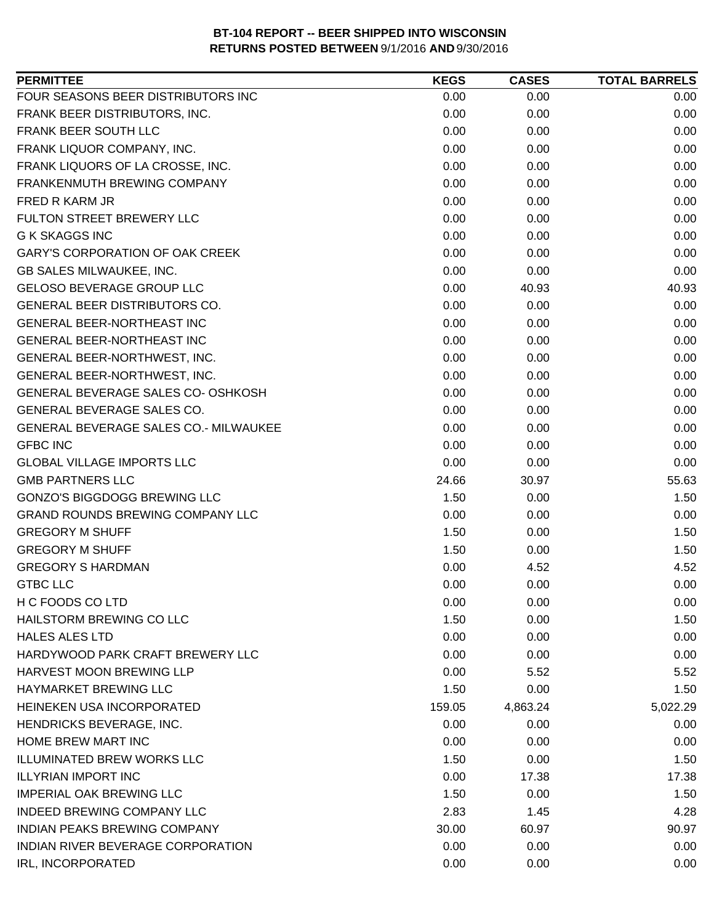| FOUR SEASONS BEER DISTRIBUTORS INC<br>0.00<br>0.00<br>0.00<br>FRANK BEER DISTRIBUTORS, INC.<br>0.00<br>0.00<br>0.00<br>FRANK BEER SOUTH LLC<br>0.00<br>0.00<br>0.00<br>FRANK LIQUOR COMPANY, INC.<br>0.00<br>0.00<br>0.00<br>FRANK LIQUORS OF LA CROSSE, INC.<br>0.00<br>0.00<br>0.00<br>FRANKENMUTH BREWING COMPANY<br>0.00<br>0.00<br>0.00<br>FRED R KARM JR<br>0.00<br>0.00<br>0.00<br>FULTON STREET BREWERY LLC<br>0.00<br>0.00<br>0.00<br><b>G K SKAGGS INC</b><br>0.00<br>0.00<br>0.00<br><b>GARY'S CORPORATION OF OAK CREEK</b><br>0.00<br>0.00<br>0.00<br>GB SALES MILWAUKEE, INC.<br>0.00<br>0.00<br>0.00<br><b>GELOSO BEVERAGE GROUP LLC</b><br>0.00<br>40.93<br>40.93<br>0.00<br>GENERAL BEER DISTRIBUTORS CO.<br>0.00<br>0.00<br><b>GENERAL BEER-NORTHEAST INC</b><br>0.00<br>0.00<br>0.00<br>GENERAL BEER-NORTHEAST INC<br>0.00<br>0.00<br>0.00<br>0.00<br>GENERAL BEER-NORTHWEST, INC.<br>0.00<br>0.00<br>0.00<br>GENERAL BEER-NORTHWEST, INC.<br>0.00<br>0.00<br>GENERAL BEVERAGE SALES CO- OSHKOSH<br>0.00<br>0.00<br>0.00<br>GENERAL BEVERAGE SALES CO.<br>0.00<br>0.00<br>0.00<br>GENERAL BEVERAGE SALES CO.- MILWAUKEE<br>0.00<br>0.00<br>0.00<br><b>GFBC INC</b><br>0.00<br>0.00<br>0.00<br><b>GLOBAL VILLAGE IMPORTS LLC</b><br>0.00<br>0.00<br>0.00<br><b>GMB PARTNERS LLC</b><br>24.66<br>55.63<br>30.97<br><b>GONZO'S BIGGDOGG BREWING LLC</b><br>1.50<br>0.00<br>1.50<br><b>GRAND ROUNDS BREWING COMPANY LLC</b><br>0.00<br>0.00<br>0.00<br><b>GREGORY M SHUFF</b><br>1.50<br>0.00<br>1.50<br><b>GREGORY M SHUFF</b><br>1.50<br>1.50<br>0.00<br><b>GREGORY S HARDMAN</b><br>0.00<br>4.52<br>4.52<br><b>GTBC LLC</b><br>0.00<br>0.00<br>0.00<br>H C FOODS CO LTD<br>0.00<br>0.00<br>0.00<br>HAILSTORM BREWING CO LLC<br>1.50<br>0.00<br>1.50<br><b>HALES ALES LTD</b><br>0.00<br>0.00<br>0.00<br>HARDYWOOD PARK CRAFT BREWERY LLC<br>0.00<br>0.00<br>0.00<br><b>HARVEST MOON BREWING LLP</b><br>0.00<br>5.52<br>5.52<br>HAYMARKET BREWING LLC<br>1.50<br>0.00<br>1.50<br>HEINEKEN USA INCORPORATED<br>159.05<br>4,863.24<br>5,022.29<br>HENDRICKS BEVERAGE, INC.<br>0.00<br>0.00<br>0.00<br>HOME BREW MART INC<br>0.00<br>0.00<br>0.00<br><b>ILLUMINATED BREW WORKS LLC</b><br>1.50<br>0.00<br>1.50<br><b>ILLYRIAN IMPORT INC</b><br>0.00<br>17.38<br>17.38<br><b>IMPERIAL OAK BREWING LLC</b><br>1.50<br>0.00<br>1.50<br><b>INDEED BREWING COMPANY LLC</b><br>2.83<br>1.45<br>4.28<br>INDIAN PEAKS BREWING COMPANY<br>30.00<br>60.97<br>90.97<br>INDIAN RIVER BEVERAGE CORPORATION<br>0.00<br>0.00<br>0.00<br>IRL, INCORPORATED<br>0.00<br>0.00<br>0.00 | <b>PERMITTEE</b> | <b>KEGS</b> | <b>CASES</b> | <b>TOTAL BARRELS</b> |
|----------------------------------------------------------------------------------------------------------------------------------------------------------------------------------------------------------------------------------------------------------------------------------------------------------------------------------------------------------------------------------------------------------------------------------------------------------------------------------------------------------------------------------------------------------------------------------------------------------------------------------------------------------------------------------------------------------------------------------------------------------------------------------------------------------------------------------------------------------------------------------------------------------------------------------------------------------------------------------------------------------------------------------------------------------------------------------------------------------------------------------------------------------------------------------------------------------------------------------------------------------------------------------------------------------------------------------------------------------------------------------------------------------------------------------------------------------------------------------------------------------------------------------------------------------------------------------------------------------------------------------------------------------------------------------------------------------------------------------------------------------------------------------------------------------------------------------------------------------------------------------------------------------------------------------------------------------------------------------------------------------------------------------------------------------------------------------------------------------------------------------------------------------------------------------------------------------------------------------------------------------------------------------------------------------------------------------------------------------------------------------------------------------------------------------------------------------------------------------------------------------------------------------------------------------------------------------|------------------|-------------|--------------|----------------------|
|                                                                                                                                                                                                                                                                                                                                                                                                                                                                                                                                                                                                                                                                                                                                                                                                                                                                                                                                                                                                                                                                                                                                                                                                                                                                                                                                                                                                                                                                                                                                                                                                                                                                                                                                                                                                                                                                                                                                                                                                                                                                                                                                                                                                                                                                                                                                                                                                                                                                                                                                                                                  |                  |             |              |                      |
|                                                                                                                                                                                                                                                                                                                                                                                                                                                                                                                                                                                                                                                                                                                                                                                                                                                                                                                                                                                                                                                                                                                                                                                                                                                                                                                                                                                                                                                                                                                                                                                                                                                                                                                                                                                                                                                                                                                                                                                                                                                                                                                                                                                                                                                                                                                                                                                                                                                                                                                                                                                  |                  |             |              |                      |
|                                                                                                                                                                                                                                                                                                                                                                                                                                                                                                                                                                                                                                                                                                                                                                                                                                                                                                                                                                                                                                                                                                                                                                                                                                                                                                                                                                                                                                                                                                                                                                                                                                                                                                                                                                                                                                                                                                                                                                                                                                                                                                                                                                                                                                                                                                                                                                                                                                                                                                                                                                                  |                  |             |              |                      |
|                                                                                                                                                                                                                                                                                                                                                                                                                                                                                                                                                                                                                                                                                                                                                                                                                                                                                                                                                                                                                                                                                                                                                                                                                                                                                                                                                                                                                                                                                                                                                                                                                                                                                                                                                                                                                                                                                                                                                                                                                                                                                                                                                                                                                                                                                                                                                                                                                                                                                                                                                                                  |                  |             |              |                      |
|                                                                                                                                                                                                                                                                                                                                                                                                                                                                                                                                                                                                                                                                                                                                                                                                                                                                                                                                                                                                                                                                                                                                                                                                                                                                                                                                                                                                                                                                                                                                                                                                                                                                                                                                                                                                                                                                                                                                                                                                                                                                                                                                                                                                                                                                                                                                                                                                                                                                                                                                                                                  |                  |             |              |                      |
|                                                                                                                                                                                                                                                                                                                                                                                                                                                                                                                                                                                                                                                                                                                                                                                                                                                                                                                                                                                                                                                                                                                                                                                                                                                                                                                                                                                                                                                                                                                                                                                                                                                                                                                                                                                                                                                                                                                                                                                                                                                                                                                                                                                                                                                                                                                                                                                                                                                                                                                                                                                  |                  |             |              |                      |
|                                                                                                                                                                                                                                                                                                                                                                                                                                                                                                                                                                                                                                                                                                                                                                                                                                                                                                                                                                                                                                                                                                                                                                                                                                                                                                                                                                                                                                                                                                                                                                                                                                                                                                                                                                                                                                                                                                                                                                                                                                                                                                                                                                                                                                                                                                                                                                                                                                                                                                                                                                                  |                  |             |              |                      |
|                                                                                                                                                                                                                                                                                                                                                                                                                                                                                                                                                                                                                                                                                                                                                                                                                                                                                                                                                                                                                                                                                                                                                                                                                                                                                                                                                                                                                                                                                                                                                                                                                                                                                                                                                                                                                                                                                                                                                                                                                                                                                                                                                                                                                                                                                                                                                                                                                                                                                                                                                                                  |                  |             |              |                      |
|                                                                                                                                                                                                                                                                                                                                                                                                                                                                                                                                                                                                                                                                                                                                                                                                                                                                                                                                                                                                                                                                                                                                                                                                                                                                                                                                                                                                                                                                                                                                                                                                                                                                                                                                                                                                                                                                                                                                                                                                                                                                                                                                                                                                                                                                                                                                                                                                                                                                                                                                                                                  |                  |             |              |                      |
|                                                                                                                                                                                                                                                                                                                                                                                                                                                                                                                                                                                                                                                                                                                                                                                                                                                                                                                                                                                                                                                                                                                                                                                                                                                                                                                                                                                                                                                                                                                                                                                                                                                                                                                                                                                                                                                                                                                                                                                                                                                                                                                                                                                                                                                                                                                                                                                                                                                                                                                                                                                  |                  |             |              |                      |
|                                                                                                                                                                                                                                                                                                                                                                                                                                                                                                                                                                                                                                                                                                                                                                                                                                                                                                                                                                                                                                                                                                                                                                                                                                                                                                                                                                                                                                                                                                                                                                                                                                                                                                                                                                                                                                                                                                                                                                                                                                                                                                                                                                                                                                                                                                                                                                                                                                                                                                                                                                                  |                  |             |              |                      |
|                                                                                                                                                                                                                                                                                                                                                                                                                                                                                                                                                                                                                                                                                                                                                                                                                                                                                                                                                                                                                                                                                                                                                                                                                                                                                                                                                                                                                                                                                                                                                                                                                                                                                                                                                                                                                                                                                                                                                                                                                                                                                                                                                                                                                                                                                                                                                                                                                                                                                                                                                                                  |                  |             |              |                      |
|                                                                                                                                                                                                                                                                                                                                                                                                                                                                                                                                                                                                                                                                                                                                                                                                                                                                                                                                                                                                                                                                                                                                                                                                                                                                                                                                                                                                                                                                                                                                                                                                                                                                                                                                                                                                                                                                                                                                                                                                                                                                                                                                                                                                                                                                                                                                                                                                                                                                                                                                                                                  |                  |             |              |                      |
|                                                                                                                                                                                                                                                                                                                                                                                                                                                                                                                                                                                                                                                                                                                                                                                                                                                                                                                                                                                                                                                                                                                                                                                                                                                                                                                                                                                                                                                                                                                                                                                                                                                                                                                                                                                                                                                                                                                                                                                                                                                                                                                                                                                                                                                                                                                                                                                                                                                                                                                                                                                  |                  |             |              |                      |
|                                                                                                                                                                                                                                                                                                                                                                                                                                                                                                                                                                                                                                                                                                                                                                                                                                                                                                                                                                                                                                                                                                                                                                                                                                                                                                                                                                                                                                                                                                                                                                                                                                                                                                                                                                                                                                                                                                                                                                                                                                                                                                                                                                                                                                                                                                                                                                                                                                                                                                                                                                                  |                  |             |              |                      |
|                                                                                                                                                                                                                                                                                                                                                                                                                                                                                                                                                                                                                                                                                                                                                                                                                                                                                                                                                                                                                                                                                                                                                                                                                                                                                                                                                                                                                                                                                                                                                                                                                                                                                                                                                                                                                                                                                                                                                                                                                                                                                                                                                                                                                                                                                                                                                                                                                                                                                                                                                                                  |                  |             |              |                      |
|                                                                                                                                                                                                                                                                                                                                                                                                                                                                                                                                                                                                                                                                                                                                                                                                                                                                                                                                                                                                                                                                                                                                                                                                                                                                                                                                                                                                                                                                                                                                                                                                                                                                                                                                                                                                                                                                                                                                                                                                                                                                                                                                                                                                                                                                                                                                                                                                                                                                                                                                                                                  |                  |             |              |                      |
|                                                                                                                                                                                                                                                                                                                                                                                                                                                                                                                                                                                                                                                                                                                                                                                                                                                                                                                                                                                                                                                                                                                                                                                                                                                                                                                                                                                                                                                                                                                                                                                                                                                                                                                                                                                                                                                                                                                                                                                                                                                                                                                                                                                                                                                                                                                                                                                                                                                                                                                                                                                  |                  |             |              |                      |
|                                                                                                                                                                                                                                                                                                                                                                                                                                                                                                                                                                                                                                                                                                                                                                                                                                                                                                                                                                                                                                                                                                                                                                                                                                                                                                                                                                                                                                                                                                                                                                                                                                                                                                                                                                                                                                                                                                                                                                                                                                                                                                                                                                                                                                                                                                                                                                                                                                                                                                                                                                                  |                  |             |              |                      |
|                                                                                                                                                                                                                                                                                                                                                                                                                                                                                                                                                                                                                                                                                                                                                                                                                                                                                                                                                                                                                                                                                                                                                                                                                                                                                                                                                                                                                                                                                                                                                                                                                                                                                                                                                                                                                                                                                                                                                                                                                                                                                                                                                                                                                                                                                                                                                                                                                                                                                                                                                                                  |                  |             |              |                      |
|                                                                                                                                                                                                                                                                                                                                                                                                                                                                                                                                                                                                                                                                                                                                                                                                                                                                                                                                                                                                                                                                                                                                                                                                                                                                                                                                                                                                                                                                                                                                                                                                                                                                                                                                                                                                                                                                                                                                                                                                                                                                                                                                                                                                                                                                                                                                                                                                                                                                                                                                                                                  |                  |             |              |                      |
|                                                                                                                                                                                                                                                                                                                                                                                                                                                                                                                                                                                                                                                                                                                                                                                                                                                                                                                                                                                                                                                                                                                                                                                                                                                                                                                                                                                                                                                                                                                                                                                                                                                                                                                                                                                                                                                                                                                                                                                                                                                                                                                                                                                                                                                                                                                                                                                                                                                                                                                                                                                  |                  |             |              |                      |
|                                                                                                                                                                                                                                                                                                                                                                                                                                                                                                                                                                                                                                                                                                                                                                                                                                                                                                                                                                                                                                                                                                                                                                                                                                                                                                                                                                                                                                                                                                                                                                                                                                                                                                                                                                                                                                                                                                                                                                                                                                                                                                                                                                                                                                                                                                                                                                                                                                                                                                                                                                                  |                  |             |              |                      |
|                                                                                                                                                                                                                                                                                                                                                                                                                                                                                                                                                                                                                                                                                                                                                                                                                                                                                                                                                                                                                                                                                                                                                                                                                                                                                                                                                                                                                                                                                                                                                                                                                                                                                                                                                                                                                                                                                                                                                                                                                                                                                                                                                                                                                                                                                                                                                                                                                                                                                                                                                                                  |                  |             |              |                      |
|                                                                                                                                                                                                                                                                                                                                                                                                                                                                                                                                                                                                                                                                                                                                                                                                                                                                                                                                                                                                                                                                                                                                                                                                                                                                                                                                                                                                                                                                                                                                                                                                                                                                                                                                                                                                                                                                                                                                                                                                                                                                                                                                                                                                                                                                                                                                                                                                                                                                                                                                                                                  |                  |             |              |                      |
|                                                                                                                                                                                                                                                                                                                                                                                                                                                                                                                                                                                                                                                                                                                                                                                                                                                                                                                                                                                                                                                                                                                                                                                                                                                                                                                                                                                                                                                                                                                                                                                                                                                                                                                                                                                                                                                                                                                                                                                                                                                                                                                                                                                                                                                                                                                                                                                                                                                                                                                                                                                  |                  |             |              |                      |
|                                                                                                                                                                                                                                                                                                                                                                                                                                                                                                                                                                                                                                                                                                                                                                                                                                                                                                                                                                                                                                                                                                                                                                                                                                                                                                                                                                                                                                                                                                                                                                                                                                                                                                                                                                                                                                                                                                                                                                                                                                                                                                                                                                                                                                                                                                                                                                                                                                                                                                                                                                                  |                  |             |              |                      |
|                                                                                                                                                                                                                                                                                                                                                                                                                                                                                                                                                                                                                                                                                                                                                                                                                                                                                                                                                                                                                                                                                                                                                                                                                                                                                                                                                                                                                                                                                                                                                                                                                                                                                                                                                                                                                                                                                                                                                                                                                                                                                                                                                                                                                                                                                                                                                                                                                                                                                                                                                                                  |                  |             |              |                      |
|                                                                                                                                                                                                                                                                                                                                                                                                                                                                                                                                                                                                                                                                                                                                                                                                                                                                                                                                                                                                                                                                                                                                                                                                                                                                                                                                                                                                                                                                                                                                                                                                                                                                                                                                                                                                                                                                                                                                                                                                                                                                                                                                                                                                                                                                                                                                                                                                                                                                                                                                                                                  |                  |             |              |                      |
|                                                                                                                                                                                                                                                                                                                                                                                                                                                                                                                                                                                                                                                                                                                                                                                                                                                                                                                                                                                                                                                                                                                                                                                                                                                                                                                                                                                                                                                                                                                                                                                                                                                                                                                                                                                                                                                                                                                                                                                                                                                                                                                                                                                                                                                                                                                                                                                                                                                                                                                                                                                  |                  |             |              |                      |
|                                                                                                                                                                                                                                                                                                                                                                                                                                                                                                                                                                                                                                                                                                                                                                                                                                                                                                                                                                                                                                                                                                                                                                                                                                                                                                                                                                                                                                                                                                                                                                                                                                                                                                                                                                                                                                                                                                                                                                                                                                                                                                                                                                                                                                                                                                                                                                                                                                                                                                                                                                                  |                  |             |              |                      |
|                                                                                                                                                                                                                                                                                                                                                                                                                                                                                                                                                                                                                                                                                                                                                                                                                                                                                                                                                                                                                                                                                                                                                                                                                                                                                                                                                                                                                                                                                                                                                                                                                                                                                                                                                                                                                                                                                                                                                                                                                                                                                                                                                                                                                                                                                                                                                                                                                                                                                                                                                                                  |                  |             |              |                      |
|                                                                                                                                                                                                                                                                                                                                                                                                                                                                                                                                                                                                                                                                                                                                                                                                                                                                                                                                                                                                                                                                                                                                                                                                                                                                                                                                                                                                                                                                                                                                                                                                                                                                                                                                                                                                                                                                                                                                                                                                                                                                                                                                                                                                                                                                                                                                                                                                                                                                                                                                                                                  |                  |             |              |                      |
|                                                                                                                                                                                                                                                                                                                                                                                                                                                                                                                                                                                                                                                                                                                                                                                                                                                                                                                                                                                                                                                                                                                                                                                                                                                                                                                                                                                                                                                                                                                                                                                                                                                                                                                                                                                                                                                                                                                                                                                                                                                                                                                                                                                                                                                                                                                                                                                                                                                                                                                                                                                  |                  |             |              |                      |
|                                                                                                                                                                                                                                                                                                                                                                                                                                                                                                                                                                                                                                                                                                                                                                                                                                                                                                                                                                                                                                                                                                                                                                                                                                                                                                                                                                                                                                                                                                                                                                                                                                                                                                                                                                                                                                                                                                                                                                                                                                                                                                                                                                                                                                                                                                                                                                                                                                                                                                                                                                                  |                  |             |              |                      |
|                                                                                                                                                                                                                                                                                                                                                                                                                                                                                                                                                                                                                                                                                                                                                                                                                                                                                                                                                                                                                                                                                                                                                                                                                                                                                                                                                                                                                                                                                                                                                                                                                                                                                                                                                                                                                                                                                                                                                                                                                                                                                                                                                                                                                                                                                                                                                                                                                                                                                                                                                                                  |                  |             |              |                      |
|                                                                                                                                                                                                                                                                                                                                                                                                                                                                                                                                                                                                                                                                                                                                                                                                                                                                                                                                                                                                                                                                                                                                                                                                                                                                                                                                                                                                                                                                                                                                                                                                                                                                                                                                                                                                                                                                                                                                                                                                                                                                                                                                                                                                                                                                                                                                                                                                                                                                                                                                                                                  |                  |             |              |                      |
|                                                                                                                                                                                                                                                                                                                                                                                                                                                                                                                                                                                                                                                                                                                                                                                                                                                                                                                                                                                                                                                                                                                                                                                                                                                                                                                                                                                                                                                                                                                                                                                                                                                                                                                                                                                                                                                                                                                                                                                                                                                                                                                                                                                                                                                                                                                                                                                                                                                                                                                                                                                  |                  |             |              |                      |
|                                                                                                                                                                                                                                                                                                                                                                                                                                                                                                                                                                                                                                                                                                                                                                                                                                                                                                                                                                                                                                                                                                                                                                                                                                                                                                                                                                                                                                                                                                                                                                                                                                                                                                                                                                                                                                                                                                                                                                                                                                                                                                                                                                                                                                                                                                                                                                                                                                                                                                                                                                                  |                  |             |              |                      |
|                                                                                                                                                                                                                                                                                                                                                                                                                                                                                                                                                                                                                                                                                                                                                                                                                                                                                                                                                                                                                                                                                                                                                                                                                                                                                                                                                                                                                                                                                                                                                                                                                                                                                                                                                                                                                                                                                                                                                                                                                                                                                                                                                                                                                                                                                                                                                                                                                                                                                                                                                                                  |                  |             |              |                      |
|                                                                                                                                                                                                                                                                                                                                                                                                                                                                                                                                                                                                                                                                                                                                                                                                                                                                                                                                                                                                                                                                                                                                                                                                                                                                                                                                                                                                                                                                                                                                                                                                                                                                                                                                                                                                                                                                                                                                                                                                                                                                                                                                                                                                                                                                                                                                                                                                                                                                                                                                                                                  |                  |             |              |                      |
|                                                                                                                                                                                                                                                                                                                                                                                                                                                                                                                                                                                                                                                                                                                                                                                                                                                                                                                                                                                                                                                                                                                                                                                                                                                                                                                                                                                                                                                                                                                                                                                                                                                                                                                                                                                                                                                                                                                                                                                                                                                                                                                                                                                                                                                                                                                                                                                                                                                                                                                                                                                  |                  |             |              |                      |
|                                                                                                                                                                                                                                                                                                                                                                                                                                                                                                                                                                                                                                                                                                                                                                                                                                                                                                                                                                                                                                                                                                                                                                                                                                                                                                                                                                                                                                                                                                                                                                                                                                                                                                                                                                                                                                                                                                                                                                                                                                                                                                                                                                                                                                                                                                                                                                                                                                                                                                                                                                                  |                  |             |              |                      |
|                                                                                                                                                                                                                                                                                                                                                                                                                                                                                                                                                                                                                                                                                                                                                                                                                                                                                                                                                                                                                                                                                                                                                                                                                                                                                                                                                                                                                                                                                                                                                                                                                                                                                                                                                                                                                                                                                                                                                                                                                                                                                                                                                                                                                                                                                                                                                                                                                                                                                                                                                                                  |                  |             |              |                      |
|                                                                                                                                                                                                                                                                                                                                                                                                                                                                                                                                                                                                                                                                                                                                                                                                                                                                                                                                                                                                                                                                                                                                                                                                                                                                                                                                                                                                                                                                                                                                                                                                                                                                                                                                                                                                                                                                                                                                                                                                                                                                                                                                                                                                                                                                                                                                                                                                                                                                                                                                                                                  |                  |             |              |                      |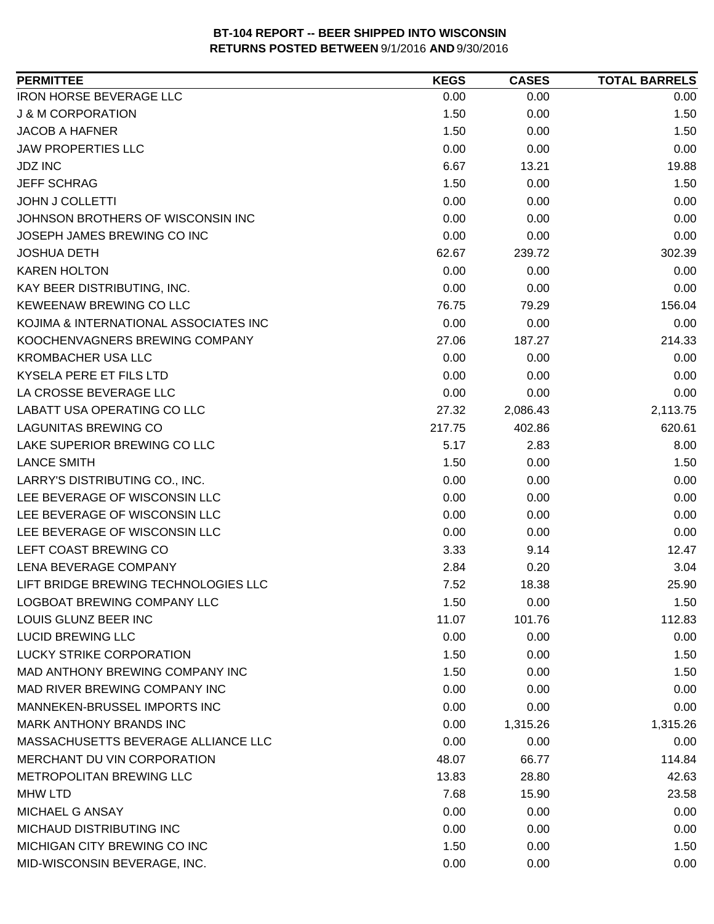| <b>PERMITTEE</b>                      | <b>KEGS</b> | <b>CASES</b> | <b>TOTAL BARRELS</b> |
|---------------------------------------|-------------|--------------|----------------------|
| <b>IRON HORSE BEVERAGE LLC</b>        | 0.00        | 0.00         | 0.00                 |
| <b>J &amp; M CORPORATION</b>          | 1.50        | 0.00         | 1.50                 |
| <b>JACOB A HAFNER</b>                 | 1.50        | 0.00         | 1.50                 |
| <b>JAW PROPERTIES LLC</b>             | 0.00        | 0.00         | 0.00                 |
| <b>JDZ INC</b>                        | 6.67        | 13.21        | 19.88                |
| <b>JEFF SCHRAG</b>                    | 1.50        | 0.00         | 1.50                 |
| <b>JOHN J COLLETTI</b>                | 0.00        | 0.00         | 0.00                 |
| JOHNSON BROTHERS OF WISCONSIN INC     | 0.00        | 0.00         | 0.00                 |
| JOSEPH JAMES BREWING CO INC           | 0.00        | 0.00         | 0.00                 |
| <b>JOSHUA DETH</b>                    | 62.67       | 239.72       | 302.39               |
| <b>KAREN HOLTON</b>                   | 0.00        | 0.00         | 0.00                 |
| KAY BEER DISTRIBUTING, INC.           | 0.00        | 0.00         | 0.00                 |
| KEWEENAW BREWING CO LLC               | 76.75       | 79.29        | 156.04               |
| KOJIMA & INTERNATIONAL ASSOCIATES INC | 0.00        | 0.00         | 0.00                 |
| KOOCHENVAGNERS BREWING COMPANY        | 27.06       | 187.27       | 214.33               |
| <b>KROMBACHER USA LLC</b>             | 0.00        | 0.00         | 0.00                 |
| KYSELA PERE ET FILS LTD               | 0.00        | 0.00         | 0.00                 |
| LA CROSSE BEVERAGE LLC                | 0.00        | 0.00         | 0.00                 |
| LABATT USA OPERATING CO LLC           | 27.32       | 2,086.43     | 2,113.75             |
| <b>LAGUNITAS BREWING CO</b>           | 217.75      | 402.86       | 620.61               |
| LAKE SUPERIOR BREWING CO LLC          | 5.17        | 2.83         | 8.00                 |
| <b>LANCE SMITH</b>                    | 1.50        | 0.00         | 1.50                 |
| LARRY'S DISTRIBUTING CO., INC.        | 0.00        | 0.00         | 0.00                 |
| LEE BEVERAGE OF WISCONSIN LLC         | 0.00        | 0.00         | 0.00                 |
| LEE BEVERAGE OF WISCONSIN LLC         | 0.00        | 0.00         | 0.00                 |
| LEE BEVERAGE OF WISCONSIN LLC         | 0.00        | 0.00         | 0.00                 |
| LEFT COAST BREWING CO                 | 3.33        | 9.14         | 12.47                |
| LENA BEVERAGE COMPANY                 | 2.84        | 0.20         | 3.04                 |
| LIFT BRIDGE BREWING TECHNOLOGIES LLC  | 7.52        | 18.38        | 25.90                |
| LOGBOAT BREWING COMPANY LLC           | 1.50        | 0.00         | 1.50                 |
| LOUIS GLUNZ BEER INC                  | 11.07       | 101.76       | 112.83               |
| <b>LUCID BREWING LLC</b>              | 0.00        | 0.00         | 0.00                 |
| <b>LUCKY STRIKE CORPORATION</b>       | 1.50        | 0.00         | 1.50                 |
| MAD ANTHONY BREWING COMPANY INC       | 1.50        | 0.00         | 1.50                 |
| MAD RIVER BREWING COMPANY INC         | 0.00        | 0.00         | 0.00                 |
| MANNEKEN-BRUSSEL IMPORTS INC          | 0.00        | 0.00         | 0.00                 |
| <b>MARK ANTHONY BRANDS INC</b>        | 0.00        | 1,315.26     | 1,315.26             |
| MASSACHUSETTS BEVERAGE ALLIANCE LLC   | 0.00        | 0.00         | 0.00                 |
| MERCHANT DU VIN CORPORATION           | 48.07       | 66.77        | 114.84               |
| METROPOLITAN BREWING LLC              | 13.83       | 28.80        | 42.63                |
| <b>MHW LTD</b>                        | 7.68        | 15.90        | 23.58                |
| <b>MICHAEL G ANSAY</b>                | 0.00        | 0.00         | 0.00                 |
| MICHAUD DISTRIBUTING INC              | 0.00        | 0.00         | 0.00                 |
| MICHIGAN CITY BREWING CO INC          | 1.50        | 0.00         | 1.50                 |
| MID-WISCONSIN BEVERAGE, INC.          | 0.00        | 0.00         | 0.00                 |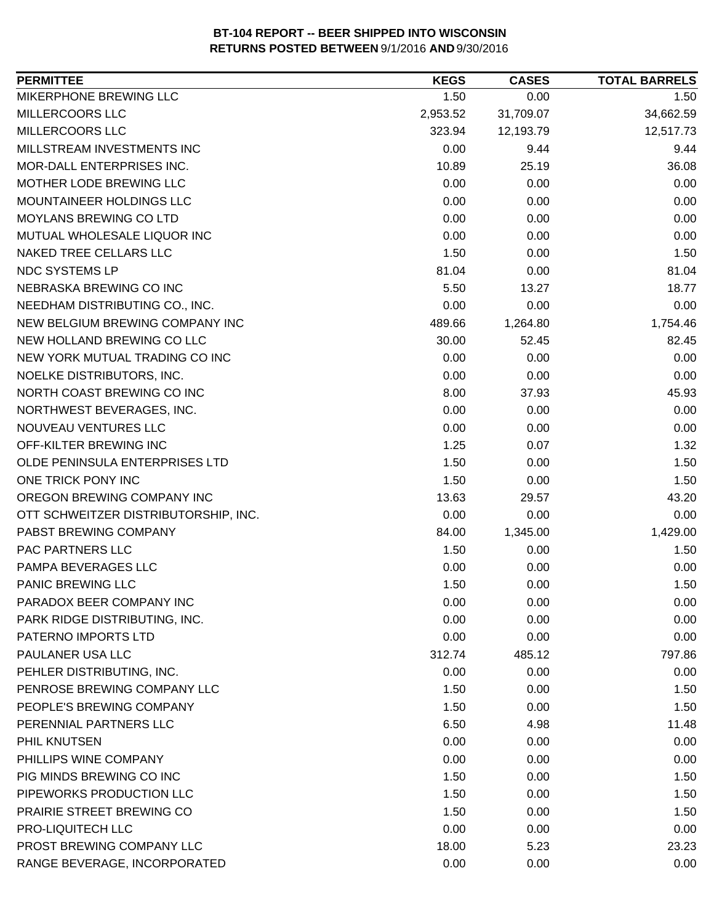| <b>PERMITTEE</b>                     | <b>KEGS</b> | <b>CASES</b> | <b>TOTAL BARRELS</b> |
|--------------------------------------|-------------|--------------|----------------------|
| MIKERPHONE BREWING LLC               | 1.50        | 0.00         | 1.50                 |
| MILLERCOORS LLC                      | 2,953.52    | 31,709.07    | 34,662.59            |
| MILLERCOORS LLC                      | 323.94      | 12,193.79    | 12,517.73            |
| MILLSTREAM INVESTMENTS INC           | 0.00        | 9.44         | 9.44                 |
| MOR-DALL ENTERPRISES INC.            | 10.89       | 25.19        | 36.08                |
| MOTHER LODE BREWING LLC              | 0.00        | 0.00         | 0.00                 |
| MOUNTAINEER HOLDINGS LLC             | 0.00        | 0.00         | 0.00                 |
| <b>MOYLANS BREWING CO LTD</b>        | 0.00        | 0.00         | 0.00                 |
| MUTUAL WHOLESALE LIQUOR INC          | 0.00        | 0.00         | 0.00                 |
| NAKED TREE CELLARS LLC               | 1.50        | 0.00         | 1.50                 |
| <b>NDC SYSTEMS LP</b>                | 81.04       | 0.00         | 81.04                |
| NEBRASKA BREWING CO INC              | 5.50        | 13.27        | 18.77                |
| NEEDHAM DISTRIBUTING CO., INC.       | 0.00        | 0.00         | 0.00                 |
| NEW BELGIUM BREWING COMPANY INC      | 489.66      | 1,264.80     | 1,754.46             |
| NEW HOLLAND BREWING CO LLC           | 30.00       | 52.45        | 82.45                |
| NEW YORK MUTUAL TRADING CO INC       | 0.00        | 0.00         | 0.00                 |
| NOELKE DISTRIBUTORS, INC.            | 0.00        | 0.00         | 0.00                 |
| NORTH COAST BREWING CO INC           | 8.00        | 37.93        | 45.93                |
| NORTHWEST BEVERAGES, INC.            | 0.00        | 0.00         | 0.00                 |
| NOUVEAU VENTURES LLC                 | 0.00        | 0.00         | 0.00                 |
| OFF-KILTER BREWING INC               | 1.25        | 0.07         | 1.32                 |
| OLDE PENINSULA ENTERPRISES LTD       | 1.50        | 0.00         | 1.50                 |
| ONE TRICK PONY INC                   | 1.50        | 0.00         | 1.50                 |
| OREGON BREWING COMPANY INC           | 13.63       | 29.57        | 43.20                |
| OTT SCHWEITZER DISTRIBUTORSHIP, INC. | 0.00        | 0.00         | 0.00                 |
| PABST BREWING COMPANY                | 84.00       | 1,345.00     | 1,429.00             |
| PAC PARTNERS LLC                     | 1.50        | 0.00         | 1.50                 |
| PAMPA BEVERAGES LLC                  | 0.00        | 0.00         | 0.00                 |
| <b>PANIC BREWING LLC</b>             | 1.50        | 0.00         | 1.50                 |
| PARADOX BEER COMPANY INC             | 0.00        | 0.00         | 0.00                 |
| PARK RIDGE DISTRIBUTING, INC.        | 0.00        | 0.00         | 0.00                 |
| PATERNO IMPORTS LTD                  | 0.00        | 0.00         | 0.00                 |
| PAULANER USA LLC                     | 312.74      | 485.12       | 797.86               |
| PEHLER DISTRIBUTING, INC.            | 0.00        | 0.00         | 0.00                 |
| PENROSE BREWING COMPANY LLC          | 1.50        | 0.00         | 1.50                 |
| PEOPLE'S BREWING COMPANY             | 1.50        | 0.00         | 1.50                 |
| PERENNIAL PARTNERS LLC               | 6.50        | 4.98         | 11.48                |
| PHIL KNUTSEN                         | 0.00        | 0.00         | 0.00                 |
| PHILLIPS WINE COMPANY                | 0.00        | 0.00         | 0.00                 |
| PIG MINDS BREWING CO INC             | 1.50        | 0.00         | 1.50                 |
| PIPEWORKS PRODUCTION LLC             | 1.50        | 0.00         | 1.50                 |
| PRAIRIE STREET BREWING CO            | 1.50        | 0.00         | 1.50                 |
| PRO-LIQUITECH LLC                    | 0.00        | 0.00         | 0.00                 |
| PROST BREWING COMPANY LLC            | 18.00       | 5.23         | 23.23                |
| RANGE BEVERAGE, INCORPORATED         | 0.00        | 0.00         | 0.00                 |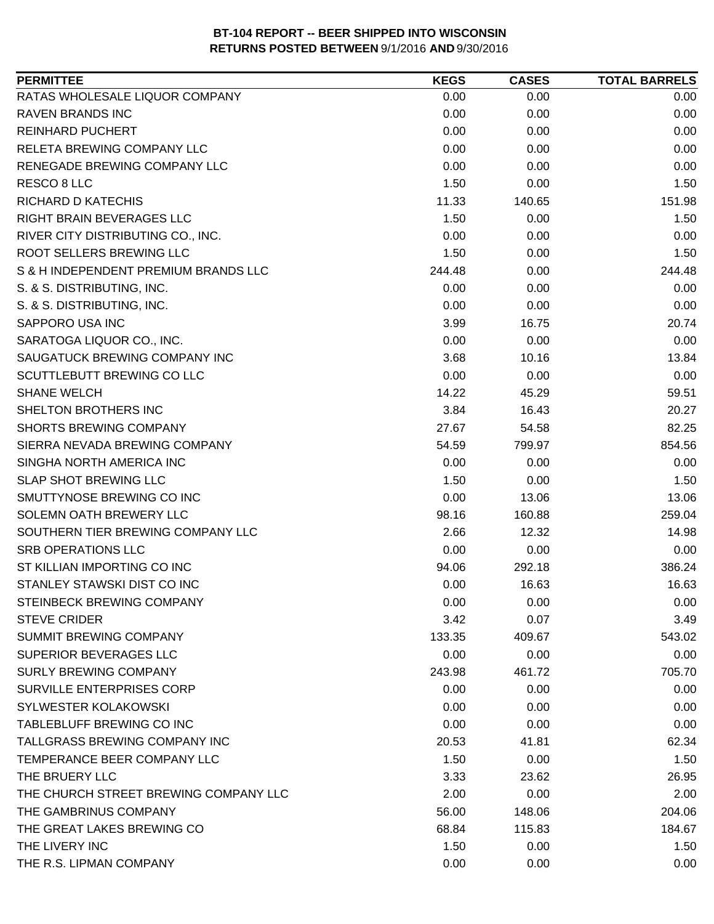| <b>PERMITTEE</b>                      | <b>KEGS</b> | <b>CASES</b> | <b>TOTAL BARRELS</b> |
|---------------------------------------|-------------|--------------|----------------------|
| RATAS WHOLESALE LIQUOR COMPANY        | 0.00        | 0.00         | 0.00                 |
| <b>RAVEN BRANDS INC</b>               | 0.00        | 0.00         | 0.00                 |
| <b>REINHARD PUCHERT</b>               | 0.00        | 0.00         | 0.00                 |
| <b>RELETA BREWING COMPANY LLC</b>     | 0.00        | 0.00         | 0.00                 |
| RENEGADE BREWING COMPANY LLC          | 0.00        | 0.00         | 0.00                 |
| RESCO 8 LLC                           | 1.50        | 0.00         | 1.50                 |
| RICHARD D KATECHIS                    | 11.33       | 140.65       | 151.98               |
| <b>RIGHT BRAIN BEVERAGES LLC</b>      | 1.50        | 0.00         | 1.50                 |
| RIVER CITY DISTRIBUTING CO., INC.     | 0.00        | 0.00         | 0.00                 |
| ROOT SELLERS BREWING LLC              | 1.50        | 0.00         | 1.50                 |
| S & H INDEPENDENT PREMIUM BRANDS LLC  | 244.48      | 0.00         | 244.48               |
| S. & S. DISTRIBUTING, INC.            | 0.00        | 0.00         | 0.00                 |
| S. & S. DISTRIBUTING, INC.            | 0.00        | 0.00         | 0.00                 |
| SAPPORO USA INC                       | 3.99        | 16.75        | 20.74                |
| SARATOGA LIQUOR CO., INC.             | 0.00        | 0.00         | 0.00                 |
| SAUGATUCK BREWING COMPANY INC         | 3.68        | 10.16        | 13.84                |
| SCUTTLEBUTT BREWING CO LLC            | 0.00        | 0.00         | 0.00                 |
| <b>SHANE WELCH</b>                    | 14.22       | 45.29        | 59.51                |
| SHELTON BROTHERS INC                  | 3.84        | 16.43        | 20.27                |
| <b>SHORTS BREWING COMPANY</b>         | 27.67       | 54.58        | 82.25                |
| SIERRA NEVADA BREWING COMPANY         | 54.59       | 799.97       | 854.56               |
| SINGHA NORTH AMERICA INC              | 0.00        | 0.00         | 0.00                 |
| <b>SLAP SHOT BREWING LLC</b>          | 1.50        | 0.00         | 1.50                 |
| SMUTTYNOSE BREWING CO INC             | 0.00        | 13.06        | 13.06                |
| SOLEMN OATH BREWERY LLC               | 98.16       | 160.88       | 259.04               |
| SOUTHERN TIER BREWING COMPANY LLC     | 2.66        | 12.32        | 14.98                |
| <b>SRB OPERATIONS LLC</b>             | 0.00        | 0.00         | 0.00                 |
| ST KILLIAN IMPORTING CO INC           | 94.06       | 292.18       | 386.24               |
| STANLEY STAWSKI DIST CO INC           | 0.00        | 16.63        | 16.63                |
| STEINBECK BREWING COMPANY             | 0.00        | 0.00         | 0.00                 |
| <b>STEVE CRIDER</b>                   | 3.42        | 0.07         | 3.49                 |
| <b>SUMMIT BREWING COMPANY</b>         | 133.35      | 409.67       | 543.02               |
| SUPERIOR BEVERAGES LLC                | 0.00        | 0.00         | 0.00                 |
| <b>SURLY BREWING COMPANY</b>          | 243.98      | 461.72       | 705.70               |
| <b>SURVILLE ENTERPRISES CORP</b>      | 0.00        | 0.00         | 0.00                 |
| <b>SYLWESTER KOLAKOWSKI</b>           | 0.00        | 0.00         | 0.00                 |
| TABLEBLUFF BREWING CO INC             | 0.00        | 0.00         | 0.00                 |
| TALLGRASS BREWING COMPANY INC         | 20.53       | 41.81        | 62.34                |
| TEMPERANCE BEER COMPANY LLC           | 1.50        | 0.00         | 1.50                 |
| THE BRUERY LLC                        | 3.33        | 23.62        | 26.95                |
| THE CHURCH STREET BREWING COMPANY LLC | 2.00        | 0.00         | 2.00                 |
| THE GAMBRINUS COMPANY                 | 56.00       | 148.06       | 204.06               |
| THE GREAT LAKES BREWING CO            | 68.84       | 115.83       | 184.67               |
| THE LIVERY INC                        | 1.50        | 0.00         | 1.50                 |
| THE R.S. LIPMAN COMPANY               | 0.00        | 0.00         | 0.00                 |
|                                       |             |              |                      |